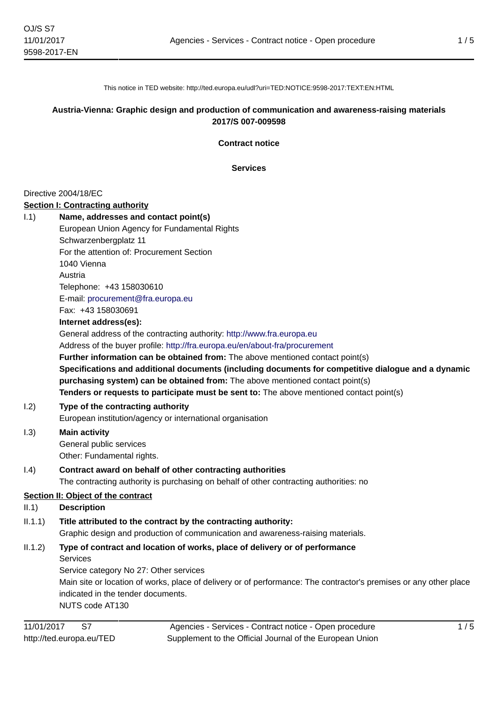This notice in TED website: http://ted.europa.eu/udl?uri=TED:NOTICE:9598-2017:TEXT:EN:HTML

### **Austria-Vienna: Graphic design and production of communication and awareness-raising materials 2017/S 007-009598**

**Contract notice**

**Services**

### Directive 2004/18/EC

#### **Section I: Contracting authority**

I.1) **Name, addresses and contact point(s)** European Union Agency for Fundamental Rights Schwarzenbergplatz 11 For the attention of: Procurement Section 1040 Vienna Austria

> Telephone: +43 158030610 E-mail: [procurement@fra.europa.eu](mailto:procurement@fra.europa.eu)

Fax: +43 158030691

#### **Internet address(es):**

General address of the contracting authority: <http://www.fra.europa.eu>

Address of the buyer profile: <http://fra.europa.eu/en/about-fra/procurement>

**Further information can be obtained from:** The above mentioned contact point(s)

**Specifications and additional documents (including documents for competitive dialogue and a dynamic purchasing system) can be obtained from:** The above mentioned contact point(s) **Tenders or requests to participate must be sent to:** The above mentioned contact point(s)

I.2) **Type of the contracting authority**

European institution/agency or international organisation

I.3) **Main activity**

General public services Other: Fundamental rights.

### I.4) **Contract award on behalf of other contracting authorities**

The contracting authority is purchasing on behalf of other contracting authorities: no

### **Section II: Object of the contract**

### II.1) **Description**

# II.1.1) **Title attributed to the contract by the contracting authority:**

Graphic design and production of communication and awareness-raising materials.

# II.1.2) **Type of contract and location of works, place of delivery or of performance**

Services

Service category No 27: Other services

Main site or location of works, place of delivery or of performance: The contractor's premises or any other place indicated in the tender documents.

NUTS code AT130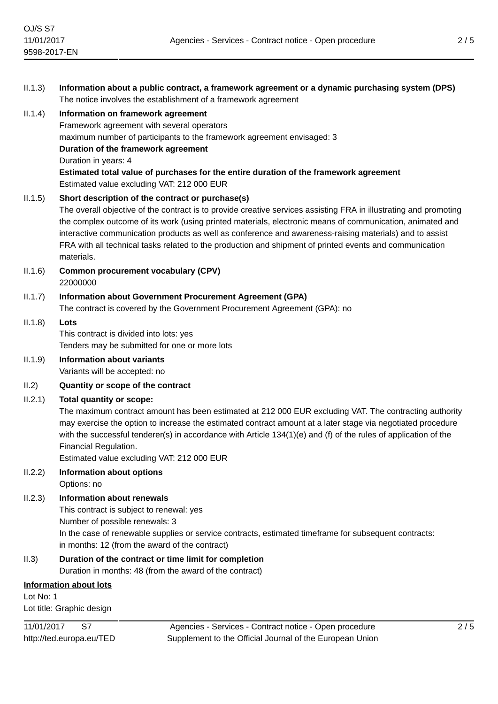| II.1.3)   | Information about a public contract, a framework agreement or a dynamic purchasing system (DPS)<br>The notice involves the establishment of a framework agreement                                                                                                                                                                                                                                                                                                                                                      |
|-----------|------------------------------------------------------------------------------------------------------------------------------------------------------------------------------------------------------------------------------------------------------------------------------------------------------------------------------------------------------------------------------------------------------------------------------------------------------------------------------------------------------------------------|
| II.1.4)   | Information on framework agreement<br>Framework agreement with several operators<br>maximum number of participants to the framework agreement envisaged: 3<br>Duration of the framework agreement<br>Duration in years: 4<br>Estimated total value of purchases for the entire duration of the framework agreement<br>Estimated value excluding VAT: 212 000 EUR                                                                                                                                                       |
| II.1.5)   | Short description of the contract or purchase(s)<br>The overall objective of the contract is to provide creative services assisting FRA in illustrating and promoting<br>the complex outcome of its work (using printed materials, electronic means of communication, animated and<br>interactive communication products as well as conference and awareness-raising materials) and to assist<br>FRA with all technical tasks related to the production and shipment of printed events and communication<br>materials. |
| II.1.6)   | <b>Common procurement vocabulary (CPV)</b><br>22000000                                                                                                                                                                                                                                                                                                                                                                                                                                                                 |
| II.1.7)   | Information about Government Procurement Agreement (GPA)<br>The contract is covered by the Government Procurement Agreement (GPA): no                                                                                                                                                                                                                                                                                                                                                                                  |
| II.1.8)   | Lots<br>This contract is divided into lots: yes<br>Tenders may be submitted for one or more lots                                                                                                                                                                                                                                                                                                                                                                                                                       |
| II.1.9)   | Information about variants<br>Variants will be accepted: no                                                                                                                                                                                                                                                                                                                                                                                                                                                            |
| II.2)     | Quantity or scope of the contract                                                                                                                                                                                                                                                                                                                                                                                                                                                                                      |
| II.2.1)   | <b>Total quantity or scope:</b><br>The maximum contract amount has been estimated at 212 000 EUR excluding VAT. The contracting authority<br>may exercise the option to increase the estimated contract amount at a later stage via negotiated procedure<br>with the successful tenderer(s) in accordance with Article $134(1)(e)$ and (f) of the rules of application of the<br>Financial Regulation.<br>Estimated value excluding VAT: 212 000 EUR                                                                   |
| II.2.2)   | <b>Information about options</b><br>Options: no                                                                                                                                                                                                                                                                                                                                                                                                                                                                        |
| II.2.3)   | <b>Information about renewals</b><br>This contract is subject to renewal: yes<br>Number of possible renewals: 3<br>In the case of renewable supplies or service contracts, estimated timeframe for subsequent contracts:<br>in months: 12 (from the award of the contract)                                                                                                                                                                                                                                             |
| II.3)     | Duration of the contract or time limit for completion<br>Duration in months: 48 (from the award of the contract)                                                                                                                                                                                                                                                                                                                                                                                                       |
|           | <b>Information about lots</b>                                                                                                                                                                                                                                                                                                                                                                                                                                                                                          |
| Lot No: 1 |                                                                                                                                                                                                                                                                                                                                                                                                                                                                                                                        |

Lot title: Graphic design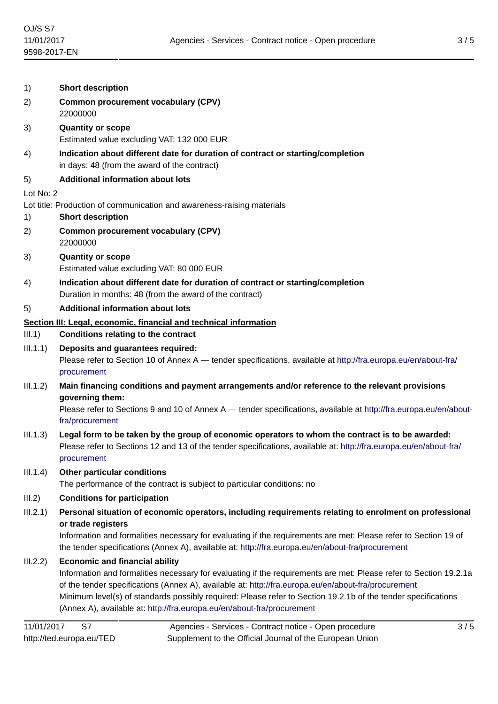| 1)        | <b>Short description</b>                                                                                                                                                                                                                                                                                                                                                                                                                                     |  |
|-----------|--------------------------------------------------------------------------------------------------------------------------------------------------------------------------------------------------------------------------------------------------------------------------------------------------------------------------------------------------------------------------------------------------------------------------------------------------------------|--|
| 2)        | <b>Common procurement vocabulary (CPV)</b><br>22000000                                                                                                                                                                                                                                                                                                                                                                                                       |  |
| 3)        | <b>Quantity or scope</b><br>Estimated value excluding VAT: 132 000 EUR                                                                                                                                                                                                                                                                                                                                                                                       |  |
| 4)        | Indication about different date for duration of contract or starting/completion<br>in days: 48 (from the award of the contract)                                                                                                                                                                                                                                                                                                                              |  |
| 5)        | <b>Additional information about lots</b>                                                                                                                                                                                                                                                                                                                                                                                                                     |  |
| Lot No: 2 |                                                                                                                                                                                                                                                                                                                                                                                                                                                              |  |
| 1)        | Lot title: Production of communication and awareness-raising materials<br><b>Short description</b>                                                                                                                                                                                                                                                                                                                                                           |  |
| 2)        | <b>Common procurement vocabulary (CPV)</b><br>22000000                                                                                                                                                                                                                                                                                                                                                                                                       |  |
| 3)        | <b>Quantity or scope</b><br>Estimated value excluding VAT: 80 000 EUR                                                                                                                                                                                                                                                                                                                                                                                        |  |
| 4)        | Indication about different date for duration of contract or starting/completion<br>Duration in months: 48 (from the award of the contract)                                                                                                                                                                                                                                                                                                                   |  |
| 5)        | <b>Additional information about lots</b>                                                                                                                                                                                                                                                                                                                                                                                                                     |  |
|           | Section III: Legal, economic, financial and technical information                                                                                                                                                                                                                                                                                                                                                                                            |  |
| III.1)    | <b>Conditions relating to the contract</b>                                                                                                                                                                                                                                                                                                                                                                                                                   |  |
| III.1.1)  | Deposits and guarantees required:<br>Please refer to Section 10 of Annex A — tender specifications, available at http://fra.europa.eu/en/about-fra/<br>procurement                                                                                                                                                                                                                                                                                           |  |
| III.1.2)  | Main financing conditions and payment arrangements and/or reference to the relevant provisions<br>governing them:<br>Please refer to Sections 9 and 10 of Annex A — tender specifications, available at http://fra.europa.eu/en/about-                                                                                                                                                                                                                       |  |
| III.1.3)  | fra/procurement<br>Legal form to be taken by the group of economic operators to whom the contract is to be awarded:<br>Please refer to Sections 12 and 13 of the tender specifications, available at: http://fra.europa.eu/en/about-fra/<br>procurement                                                                                                                                                                                                      |  |
| III.1.4)  | <b>Other particular conditions</b><br>The performance of the contract is subject to particular conditions: no                                                                                                                                                                                                                                                                                                                                                |  |
| III.2)    | <b>Conditions for participation</b>                                                                                                                                                                                                                                                                                                                                                                                                                          |  |
| III.2.1)  | Personal situation of economic operators, including requirements relating to enrolment on professional<br>or trade registers<br>Information and formalities necessary for evaluating if the requirements are met: Please refer to Section 19 of<br>the tender specifications (Annex A), available at: http://fra.europa.eu/en/about-fra/procurement                                                                                                          |  |
| III.2.2)  | <b>Economic and financial ability</b><br>Information and formalities necessary for evaluating if the requirements are met: Please refer to Section 19.2.1a<br>of the tender specifications (Annex A), available at: http://fra.europa.eu/en/about-fra/procurement<br>Minimum level(s) of standards possibly required: Please refer to Section 19.2.1b of the tender specifications<br>(Annex A), available at: http://fra.europa.eu/en/about-fra/procurement |  |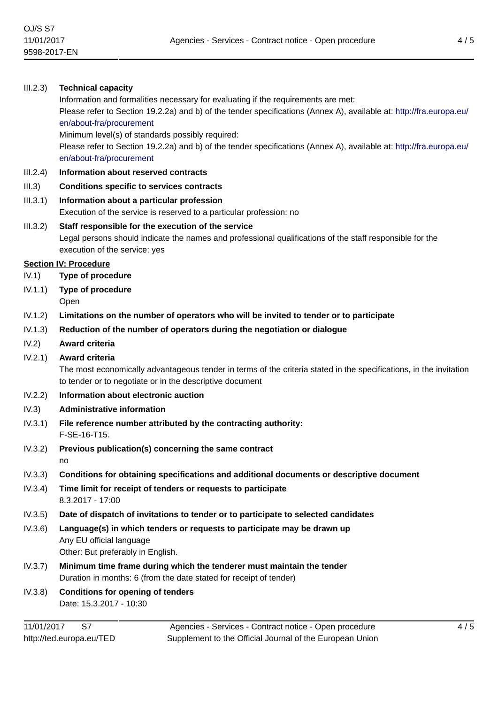### III.2.3) **Technical capacity**

Information and formalities necessary for evaluating if the requirements are met:

Please refer to Section 19.2.2a) and b) of the tender specifications (Annex A), available at: [http://fra.europa.eu/](http://fra.europa.eu/en/about-fra/procurement) [en/about-fra/procurement](http://fra.europa.eu/en/about-fra/procurement)

Minimum level(s) of standards possibly required:

Please refer to Section 19.2.2a) and b) of the tender specifications (Annex A), available at: [http://fra.europa.eu/](http://fra.europa.eu/en/about-fra/procurement) [en/about-fra/procurement](http://fra.europa.eu/en/about-fra/procurement)

- III.2.4) **Information about reserved contracts**
- III.3) **Conditions specific to services contracts**

### III.3.1) **Information about a particular profession**

Execution of the service is reserved to a particular profession: no

# III.3.2) **Staff responsible for the execution of the service**

Legal persons should indicate the names and professional qualifications of the staff responsible for the execution of the service: yes

### **Section IV: Procedure**

- IV.1) **Type of procedure**
- IV.1.1) **Type of procedure**
	- Open
- IV.1.2) **Limitations on the number of operators who will be invited to tender or to participate**
- IV.1.3) **Reduction of the number of operators during the negotiation or dialogue**
- IV.2) **Award criteria**
- IV.2.1) **Award criteria**

The most economically advantageous tender in terms of the criteria stated in the specifications, in the invitation to tender or to negotiate or in the descriptive document

- IV.2.2) **Information about electronic auction**
- IV.3) **Administrative information**
- IV.3.1) **File reference number attributed by the contracting authority:** F-SE-16-T15.
- IV.3.2) **Previous publication(s) concerning the same contract** no
- IV.3.3) **Conditions for obtaining specifications and additional documents or descriptive document**
- IV.3.4) **Time limit for receipt of tenders or requests to participate** 8.3.2017 - 17:00
- IV.3.5) **Date of dispatch of invitations to tender or to participate to selected candidates**
- IV.3.6) **Language(s) in which tenders or requests to participate may be drawn up** Any EU official language Other: But preferably in English.
- IV.3.7) **Minimum time frame during which the tenderer must maintain the tender** Duration in months: 6 (from the date stated for receipt of tender)
- IV.3.8) **Conditions for opening of tenders** Date: 15.3.2017 - 10:30